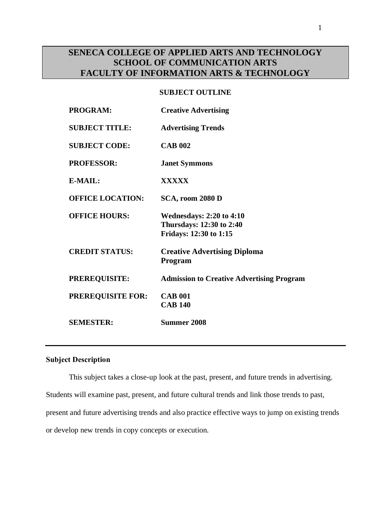# **SENECA COLLEGE OF APPLIED ARTS AND TECHNOLOGY SCHOOL OF COMMUNICATION ARTS FACULTY OF INFORMATION ARTS & TECHNOLOGY**

## **SUBJECT OUTLINE**

| PROGRAM:                 | <b>Creative Advertising</b>                                                           |
|--------------------------|---------------------------------------------------------------------------------------|
| <b>SUBJECT TITLE:</b>    | <b>Advertising Trends</b>                                                             |
| <b>SUBJECT CODE:</b>     | <b>CAB 002</b>                                                                        |
| <b>PROFESSOR:</b>        | <b>Janet Symmons</b>                                                                  |
| E-MAIL:                  | <b>XXXXX</b>                                                                          |
| <b>OFFICE LOCATION:</b>  | SCA, room 2080 D                                                                      |
| <b>OFFICE HOURS:</b>     | <b>Wednesdays: 2:20 to 4:10</b><br>Thursdays: 12:30 to 2:40<br>Fridays: 12:30 to 1:15 |
| <b>CREDIT STATUS:</b>    | <b>Creative Advertising Diploma</b><br>Program                                        |
| <b>PREREQUISITE:</b>     | <b>Admission to Creative Advertising Program</b>                                      |
| <b>PREREQUISITE FOR:</b> | <b>CAB 001</b><br><b>CAB 140</b>                                                      |
| <b>SEMESTER:</b>         | Summer 2008                                                                           |

## **Subject Description**

This subject takes a close-up look at the past, present, and future trends in advertising. Students will examine past, present, and future cultural trends and link those trends to past, present and future advertising trends and also practice effective ways to jump on existing trends or develop new trends in copy concepts or execution.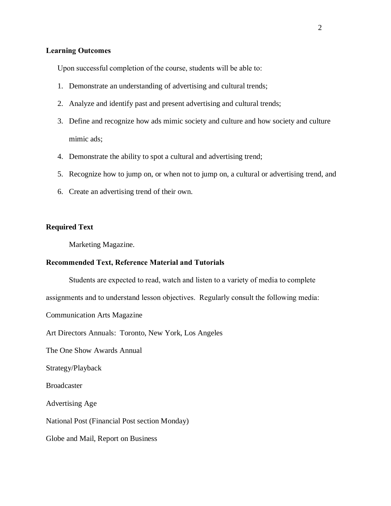## **Learning Outcomes**

Upon successful completion of the course, students will be able to:

- 1. Demonstrate an understanding of advertising and cultural trends;
- 2. Analyze and identify past and present advertising and cultural trends;
- 3. Define and recognize how ads mimic society and culture and how society and culture mimic ads;
- 4. Demonstrate the ability to spot a cultural and advertising trend;
- 5. Recognize how to jump on, or when not to jump on, a cultural or advertising trend, and
- 6. Create an advertising trend of their own.

## **Required Text**

Marketing Magazine.

## **Recommended Text, Reference Material and Tutorials**

Students are expected to read, watch and listen to a variety of media to complete

assignments and to understand lesson objectives. Regularly consult the following media:

Communication Arts Magazine

Art Directors Annuals: Toronto, New York, Los Angeles

The One Show Awards Annual

Strategy/Playback

Broadcaster

Advertising Age

National Post (Financial Post section Monday)

Globe and Mail, Report on Business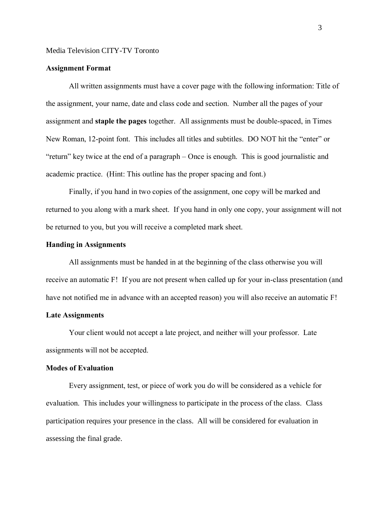## Media Television CITY-TV Toronto

## **Assignment Format**

All written assignments must have a cover page with the following information: Title of the assignment, your name, date and class code and section. Number all the pages of your assignment and **staple the pages** together. All assignments must be double-spaced, in Times New Roman, 12-point font. This includes all titles and subtitles. DO NOT hit the "enter" or "return" key twice at the end of a paragraph – Once is enough. This is good journalistic and academic practice. (Hint: This outline has the proper spacing and font.)

Finally, if you hand in two copies of the assignment, one copy will be marked and returned to you along with a mark sheet. If you hand in only one copy, your assignment will not be returned to you, but you will receive a completed mark sheet.

#### **Handing in Assignments**

All assignments must be handed in at the beginning of the class otherwise you will receive an automatic F! If you are not present when called up for your in-class presentation (and have not notified me in advance with an accepted reason) you will also receive an automatic F!

## **Late Assignments**

Your client would not accept a late project, and neither will your professor. Late assignments will not be accepted.

#### **Modes of Evaluation**

Every assignment, test, or piece of work you do will be considered as a vehicle for evaluation. This includes your willingness to participate in the process of the class. Class participation requires your presence in the class. All will be considered for evaluation in assessing the final grade.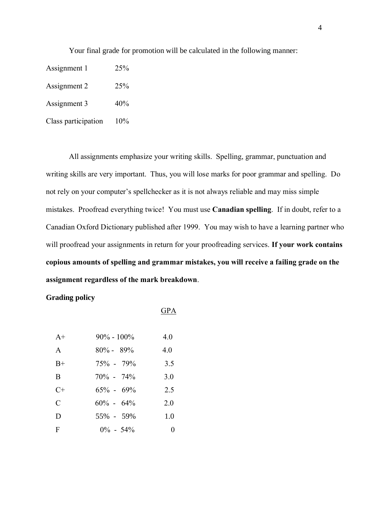Your final grade for promotion will be calculated in the following manner:

Assignment 1 25% Assignment 2 25% Assignment 3 40%

Class participation 10%

All assignments emphasize your writing skills. Spelling, grammar, punctuation and writing skills are very important. Thus, you will lose marks for poor grammar and spelling. Do not rely on your computer's spellchecker as it is not always reliable and may miss simple mistakes. Proofread everything twice! You must use **Canadian spelling**. If in doubt, refer to a Canadian Oxford Dictionary published after 1999. You may wish to have a learning partner who will proofread your assignments in return for your proofreading services. **If your work contains copious amounts of spelling and grammar mistakes, you will receive a failing grade on the assignment regardless of the mark breakdown**.

**Grading policy**

| <b>GPA</b> |  |
|------------|--|
|------------|--|

| $A+$         | $90\% - 100\%$ | 4.0 |
|--------------|----------------|-----|
| $\mathsf{A}$ | $80\% - 89\%$  | 4.0 |
| $B+$         | $75\% - 79\%$  | 3.5 |
| B            | $70\% - 74\%$  | 3.0 |
| $C+$         | $65\% - 69\%$  | 2.5 |
| C            | $60\% - 64\%$  | 20  |
| D            | 55% - 59%      | 1.0 |
| F            | $0\% - 54\%$   |     |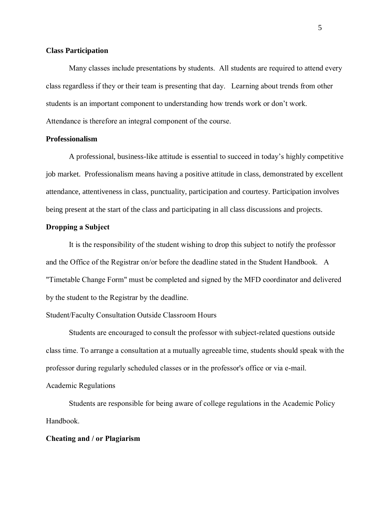## **Class Participation**

Many classes include presentations by students. All students are required to attend every class regardless if they or their team is presenting that day. Learning about trends from other students is an important component to understanding how trends work or don't work. Attendance is therefore an integral component of the course.

#### **Professionalism**

A professional, business-like attitude is essential to succeed in today's highly competitive job market. Professionalism means having a positive attitude in class, demonstrated by excellent attendance, attentiveness in class, punctuality, participation and courtesy. Participation involves being present at the start of the class and participating in all class discussions and projects.

## **Dropping a Subject**

It is the responsibility of the student wishing to drop this subject to notify the professor and the Office of the Registrar on/or before the deadline stated in the Student Handbook. A "Timetable Change Form" must be completed and signed by the MFD coordinator and delivered by the student to the Registrar by the deadline.

## Student/Faculty Consultation Outside Classroom Hours

Students are encouraged to consult the professor with subject-related questions outside class time. To arrange a consultation at a mutually agreeable time, students should speak with the professor during regularly scheduled classes or in the professor's office or via e-mail. Academic Regulations

Students are responsible for being aware of college regulations in the Academic Policy Handbook.

#### **Cheating and / or Plagiarism**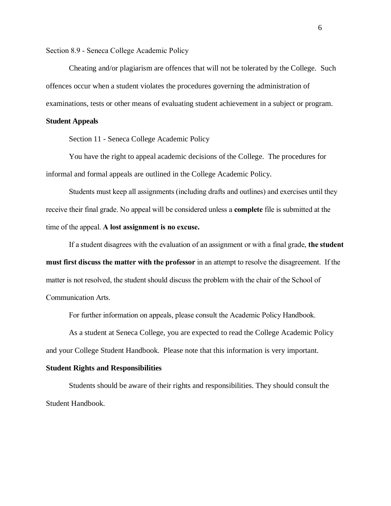Section 8.9 - Seneca College Academic Policy

Cheating and/or plagiarism are offences that will not be tolerated by the College. Such offences occur when a student violates the procedures governing the administration of examinations, tests or other means of evaluating student achievement in a subject or program.

#### **Student Appeals**

Section 11 - Seneca College Academic Policy

You have the right to appeal academic decisions of the College. The procedures for informal and formal appeals are outlined in the College Academic Policy.

Students must keep all assignments (including drafts and outlines) and exercises until they receive their final grade. No appeal will be considered unless a **complete** file is submitted at the time of the appeal. **A lost assignment is no excuse.**

If a student disagrees with the evaluation of an assignment or with a final grade, **the student must first discuss the matter with the professor** in an attempt to resolve the disagreement. If the matter is not resolved, the student should discuss the problem with the chair of the School of Communication Arts.

For further information on appeals, please consult the Academic Policy Handbook.

As a student at Seneca College, you are expected to read the College Academic Policy and your College Student Handbook. Please note that this information is very important.

#### **Student Rights and Responsibilities**

Students should be aware of their rights and responsibilities. They should consult the Student Handbook.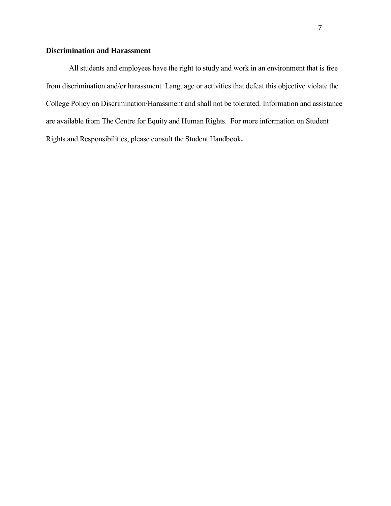## **Discrimination and Harassment**

All students and employees have the right to study and work in an environment that is free from discrimination and/or harassment. Language or activities that defeat this objective violate the College Policy on Discrimination/Harassment and shall not be tolerated. Information and assistance are available from The Centre for Equity and Human Rights. For more information on Student Rights and Responsibilities, please consult the Student Handbook**.**